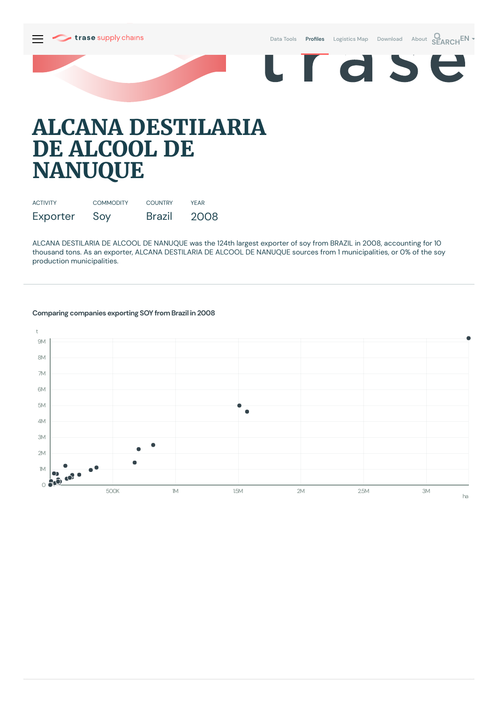Data [Tools](https://supplychains.trase.earth/explore) Profiles [Logistics](https://supplychains.trase.earth/logistics-map) Map [Download](https://supplychains.trase.earth/data) [About](https://supplychains.trase.earth/about) **SEARCH<sup>EN</sup>** 

E r d S

# **ALCANA DESTILARIA DE ALCOOL DE NANUQUE**

| <b>ACTIVITY</b> | <b>COMMODITY</b> | <b>COUNTRY</b> | YFAR |
|-----------------|------------------|----------------|------|
| Exporter        | Soy              | <b>Brazil</b>  | 2008 |

ALCANA DESTILARIA DE ALCOOL DE NANUQUE was the 124th largest exporter of soy from BRAZIL in 2008, accounting for 10 thousand tons. As an exporter, ALCANA DESTILARIA DE ALCOOL DE NANUQUE sources from 1municipalities, or 0% of the soy production municipalities.



## **Comparing companies exporting SOY from Brazil in 2008**